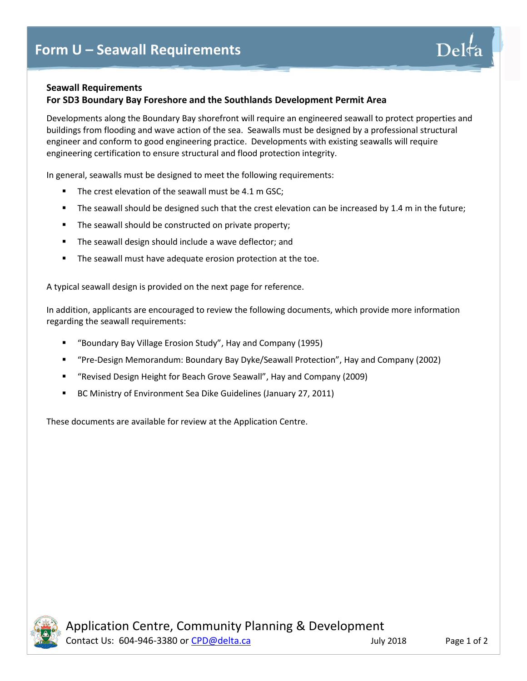

## **For SD3 Boundary Bay Foreshore and the Southlands Development Permit Area**

Developments along the Boundary Bay shorefront will require an engineered seawall to protect properties and buildings from flooding and wave action of the sea. Seawalls must be designed by a professional structural engineer and conform to good engineering practice. Developments with existing seawalls will require engineering certification to ensure structural and flood protection integrity.

In general, seawalls must be designed to meet the following requirements:

- The crest elevation of the seawall must be 4.1 m GSC;
- The seawall should be designed such that the crest elevation can be increased by 1.4 m in the future;
- The seawall should be constructed on private property;
- The seawall design should include a wave deflector; and
- The seawall must have adequate erosion protection at the toe.

A typical seawall design is provided on the next page for reference.

In addition, applicants are encouraged to review the following documents, which provide more information regarding the seawall requirements:

- "Boundary Bay Village Erosion Study", Hay and Company (1995)
- "Pre-Design Memorandum: Boundary Bay Dyke/Seawall Protection", Hay and Company (2002)
- "Revised Design Height for Beach Grove Seawall", Hay and Company (2009)
- BC Ministry of Environment Sea Dike Guidelines (January 27, 2011)

These documents are available for review at the Application Centre.



Delt